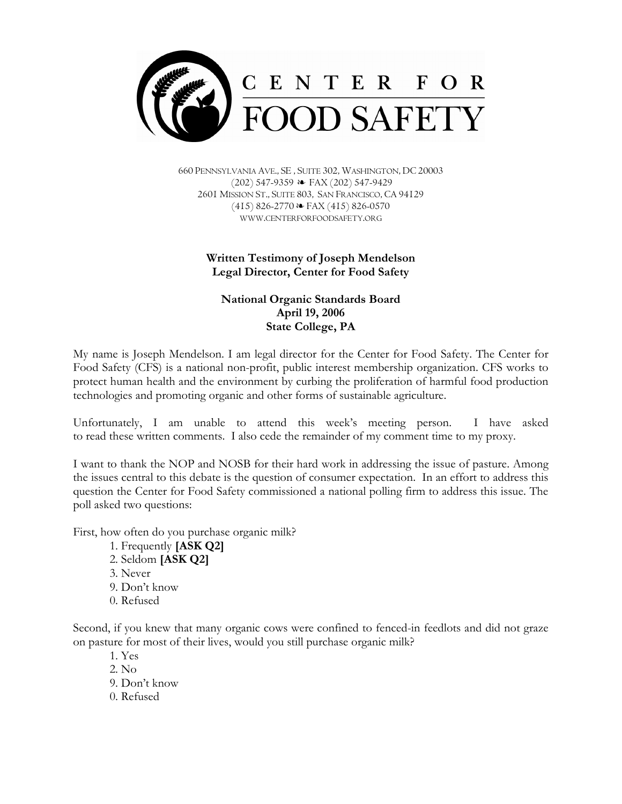

660 PENNSYLVANIA AVE., SE , SUITE 302, WASHINGTON, DC 20003  $(202)$  547-9359  $\leftrightarrow$  FAX (202) 547-9429 2601 MISSION ST., SUITE 803, SAN FRANCISCO, CA 94129  $(415)$  826-2770  $\approx$  FAX (415) 826-0570 WWW.CENTERFORFOODSAFETY.ORG

## Written Testimony of Joseph Mendelson Legal Director, Center for Food Safety

## National Organic Standards Board April 19, 2006 State College, PA

My name is Joseph Mendelson. I am legal director for the Center for Food Safety. The Center for Food Safety (CFS) is a national non-profit, public interest membership organization. CFS works to protect human health and the environment by curbing the proliferation of harmful food production technologies and promoting organic and other forms of sustainable agriculture.

Unfortunately, I am unable to attend this week's meeting person. I have asked to read these written comments. I also cede the remainder of my comment time to my proxy.

I want to thank the NOP and NOSB for their hard work in addressing the issue of pasture. Among the issues central to this debate is the question of consumer expectation. In an effort to address this question the Center for Food Safety commissioned a national polling firm to address this issue. The poll asked two questions:

First, how often do you purchase organic milk?

- 1. Frequently [ASK Q2] 2. Seldom [ASK Q2]
- 3. Never
- 9. Don't know
- 0. Refused

Second, if you knew that many organic cows were confined to fenced-in feedlots and did not graze on pasture for most of their lives, would you still purchase organic milk?

- 1. Yes
- 2. No
- 9. Don't know
- 0. Refused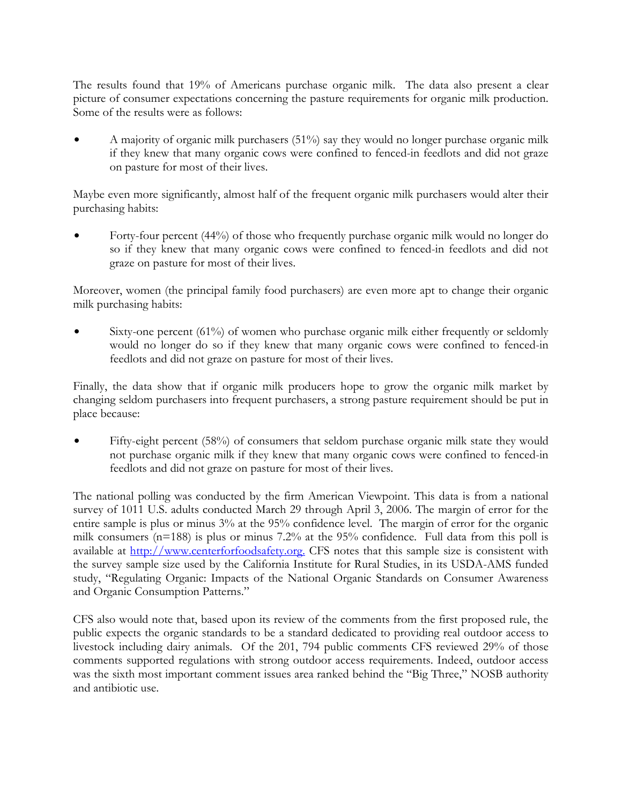The results found that 19% of Americans purchase organic milk. The data also present a clear picture of consumer expectations concerning the pasture requirements for organic milk production. Some of the results were as follows:

A majority of organic milk purchasers (51%) say they would no longer purchase organic milk if they knew that many organic cows were confined to fenced-in feedlots and did not graze on pasture for most of their lives.

Maybe even more significantly, almost half of the frequent organic milk purchasers would alter their purchasing habits:

\$ Forty-four percent (44%) of those who frequently purchase organic milk would no longer do so if they knew that many organic cows were confined to fenced-in feedlots and did not graze on pasture for most of their lives.

Moreover, women (the principal family food purchasers) are even more apt to change their organic milk purchasing habits:

Sixty-one percent  $(61\%)$  of women who purchase organic milk either frequently or seldomly would no longer do so if they knew that many organic cows were confined to fenced-in feedlots and did not graze on pasture for most of their lives.

Finally, the data show that if organic milk producers hope to grow the organic milk market by changing seldom purchasers into frequent purchasers, a strong pasture requirement should be put in place because:

Fifty-eight percent (58%) of consumers that seldom purchase organic milk state they would not purchase organic milk if they knew that many organic cows were confined to fenced-in feedlots and did not graze on pasture for most of their lives.

The national polling was conducted by the firm American Viewpoint. This data is from a national survey of 1011 U.S. adults conducted March 29 through April 3, 2006. The margin of error for the entire sample is plus or minus 3% at the 95% confidence level. The margin of error for the organic milk consumers (n=188) is plus or minus 7.2% at the 95% confidence. Full data from this poll is available at http://www.centerforfoodsafety.org. CFS notes that this sample size is consistent with the survey sample size used by the California Institute for Rural Studies, in its USDA-AMS funded study, "Regulating Organic: Impacts of the National Organic Standards on Consumer Awareness and Organic Consumption Patterns."

CFS also would note that, based upon its review of the comments from the first proposed rule, the public expects the organic standards to be a standard dedicated to providing real outdoor access to livestock including dairy animals. Of the 201, 794 public comments CFS reviewed 29% of those comments supported regulations with strong outdoor access requirements. Indeed, outdoor access was the sixth most important comment issues area ranked behind the "Big Three," NOSB authority and antibiotic use.